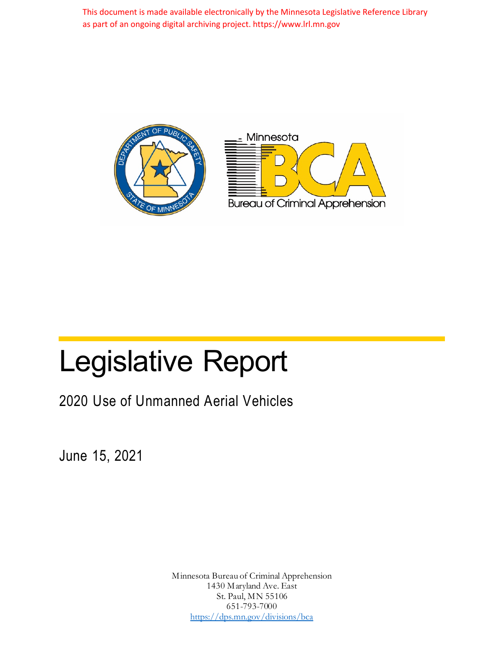This document is made available electronically by the Minnesota Legislative Reference Library as part of an ongoing digital archiving project. https://www.lrl.mn.gov





# Legislative Report

2020 Use of Unmanned Aerial Vehicles

June 15, 2021

Minnesota Bureau of Criminal Apprehension 1430 Maryland Ave. East St. Paul, MN 55106 651-793-7000 https://dps.mn.gov/divisions/bca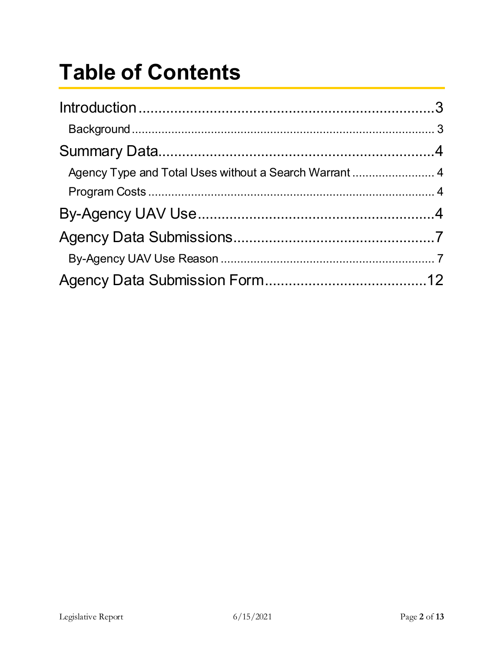## **Table of Contents**

| Agency Type and Total Uses without a Search Warrant  4 |  |
|--------------------------------------------------------|--|
|                                                        |  |
|                                                        |  |
|                                                        |  |
|                                                        |  |
|                                                        |  |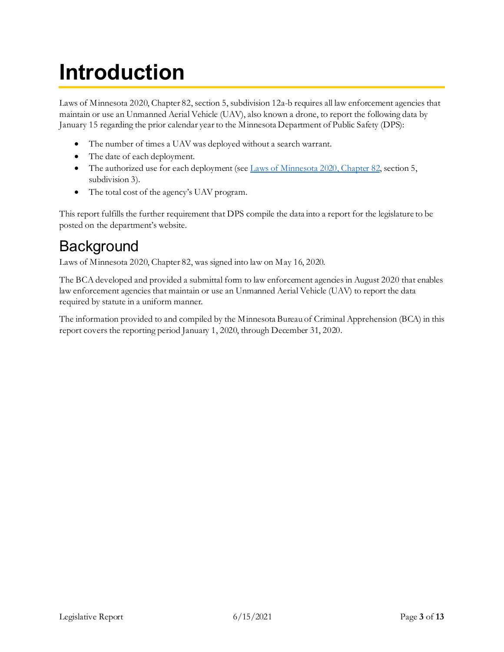## <span id="page-2-0"></span>**Introduction**

Laws of Minnesota 2020, Chapter 82, section 5, subdivision 12a-b requires all law enforcement agencies that maintain or use an Unmanned Aerial Vehicle (UAV), also known a drone, to report the following data by January 15 regarding the prior calendar yearto the Minnesota Department of Public Safety (DPS):

- The number of times a UAV was deployed without a search warrant.
- The date of each deployment.
- The authorized use for each deployment (se[e Laws of Minnesota 2020, Chapter 82,](https://www.revisor.mn.gov/laws/2020/0/Session+Law/Chapter/82/) section 5, subdivision 3).
- The total cost of the agency's UAV program.

This report fulfills the further requirement that DPS compile the data into a report for the legislature to be posted on the department's website.

#### <span id="page-2-1"></span>**Background**

Laws of Minnesota 2020, Chapter 82, was signed into law on May 16, 2020.

The BCA developed and provided a submittal form to law enforcement agencies in August 2020 that enables law enforcement agencies that maintain or use an Unmanned Aerial Vehicle (UAV) to report the data required by statute in a uniform manner.

The information provided to and compiled by the Minnesota Bureau of Criminal Apprehension (BCA) in this report covers the reporting period January 1, 2020, through December 31, 2020.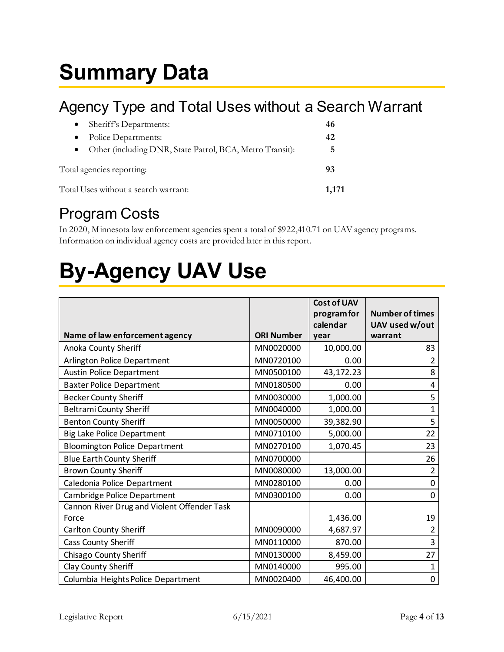### <span id="page-3-0"></span>**Summary Data**

### <span id="page-3-1"></span>Agency Type and Total Uses without a Search Warrant

| Sheriff's Departments:<br>$\bullet$                      | 46 |  |  |  |  |  |
|----------------------------------------------------------|----|--|--|--|--|--|
| Police Departments:                                      | 42 |  |  |  |  |  |
| Other (including DNR, State Patrol, BCA, Metro Transit): | 5  |  |  |  |  |  |
| Total agencies reporting:                                | 93 |  |  |  |  |  |
| Total Uses without a search warrant:                     |    |  |  |  |  |  |

### <span id="page-3-2"></span>Program Costs

In 2020, Minnesota law enforcement agencies spent a total of \$922,410.71 on UAV agency programs. Information on individual agency costs are provided later in this report.

## <span id="page-3-3"></span>**By-Agency UAV Use**

|                                             |                   | <b>Cost of UAV</b><br>program for<br>calendar | <b>Number of times</b><br>UAV used w/out |
|---------------------------------------------|-------------------|-----------------------------------------------|------------------------------------------|
| Name of law enforcement agency              | <b>ORI Number</b> | year                                          | warrant                                  |
| Anoka County Sheriff                        | MN0020000         | 10,000.00                                     | 83                                       |
| Arlington Police Department                 | MN0720100         | 0.00                                          | 2                                        |
| <b>Austin Police Department</b>             | MN0500100         | 43,172.23                                     | 8                                        |
| <b>Baxter Police Department</b>             | MN0180500         | 0.00                                          | 4                                        |
| <b>Becker County Sheriff</b>                | MN0030000         | 1,000.00                                      | 5                                        |
| <b>Beltrami County Sheriff</b>              | MN0040000         | 1,000.00                                      | 1                                        |
| <b>Benton County Sheriff</b>                | MN0050000         | 39,382.90                                     | 5                                        |
| <b>Big Lake Police Department</b>           | MN0710100         | 5,000.00                                      | 22                                       |
| <b>Bloomington Police Department</b>        | MN0270100         | 1,070.45                                      | 23                                       |
| <b>Blue Earth County Sheriff</b>            | MN0700000         |                                               | 26                                       |
| <b>Brown County Sheriff</b>                 | MN0080000         | 13,000.00                                     | $\overline{2}$                           |
| Caledonia Police Department                 | MN0280100         | 0.00                                          | $\mathbf 0$                              |
| Cambridge Police Department                 | MN0300100         | 0.00                                          | $\mathbf 0$                              |
| Cannon River Drug and Violent Offender Task |                   |                                               |                                          |
| Force                                       |                   | 1,436.00                                      | 19                                       |
| Carlton County Sheriff                      | MN0090000         | 4,687.97                                      | $\overline{2}$                           |
| Cass County Sheriff                         | MN0110000         | 870.00                                        | 3                                        |
| Chisago County Sheriff                      | MN0130000         | 8,459.00                                      | 27                                       |
| Clay County Sheriff                         | MN0140000         | 995.00                                        | 1                                        |
| Columbia Heights Police Department          | MN0020400         | 46,400.00                                     | $\mathbf 0$                              |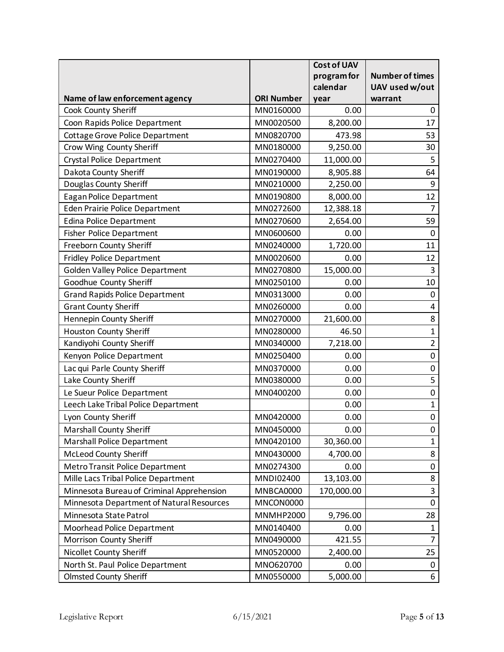|                                           |                   | <b>Cost of UAV</b> |                        |
|-------------------------------------------|-------------------|--------------------|------------------------|
|                                           |                   | program for        | <b>Number of times</b> |
|                                           |                   | calendar           | UAV used w/out         |
| Name of law enforcement agency            | <b>ORI Number</b> | year               | warrant                |
| Cook County Sheriff                       | MN0160000         | 0.00               | 0                      |
| Coon Rapids Police Department             | MN0020500         | 8,200.00           | 17                     |
| Cottage Grove Police Department           | MN0820700         | 473.98             | 53                     |
| Crow Wing County Sheriff                  | MN0180000         | 9,250.00           | 30                     |
| <b>Crystal Police Department</b>          | MN0270400         | 11,000.00          | 5                      |
| Dakota County Sheriff                     | MN0190000         | 8,905.88           | 64                     |
| Douglas County Sheriff                    | MN0210000         | 2,250.00           | 9                      |
| <b>Eagan Police Department</b>            | MN0190800         | 8,000.00           | 12                     |
| Eden Prairie Police Department            | MN0272600         | 12,388.18          | $\overline{7}$         |
| <b>Edina Police Department</b>            | MN0270600         | 2,654.00           | 59                     |
| <b>Fisher Police Department</b>           | MN0600600         | 0.00               | $\mathbf 0$            |
| Freeborn County Sheriff                   | MN0240000         | 1,720.00           | 11                     |
| <b>Fridley Police Department</b>          | MN0020600         | 0.00               | 12                     |
| Golden Valley Police Department           | MN0270800         | 15,000.00          | 3                      |
| Goodhue County Sheriff                    | MN0250100         | 0.00               | $10\,$                 |
| <b>Grand Rapids Police Department</b>     | MN0313000         | 0.00               | $\boldsymbol{0}$       |
| <b>Grant County Sheriff</b>               | MN0260000         | 0.00               | 4                      |
| Hennepin County Sheriff                   | MN0270000         | 21,600.00          | 8                      |
| Houston County Sheriff                    | MN0280000         | 46.50              | $\mathbf 1$            |
| Kandiyohi County Sheriff                  | MN0340000         | 7,218.00           | $\overline{2}$         |
| Kenyon Police Department                  | MN0250400         | 0.00               | $\pmb{0}$              |
| Lac qui Parle County Sheriff              | MN0370000         | 0.00               | $\pmb{0}$              |
| Lake County Sheriff                       | MN0380000         | 0.00               | 5                      |
| Le Sueur Police Department                | MN0400200         | 0.00               | $\pmb{0}$              |
| Leech Lake Tribal Police Department       |                   | 0.00               | $\mathbf{1}$           |
| Lyon County Sheriff                       | MN0420000         | 0.00               | $\mathbf 0$            |
| <b>Marshall County Sheriff</b>            | MN0450000         | 0.00               | $\boldsymbol{0}$       |
| <b>Marshall Police Department</b>         | MN0420100         | 30,360.00          | $\mathbf{1}$           |
| <b>McLeod County Sheriff</b>              | MN0430000         | 4,700.00           | 8                      |
| Metro Transit Police Department           | MN0274300         | 0.00               | $\pmb{0}$              |
| Mille Lacs Tribal Police Department       | MNDI02400         | 13,103.00          | $\bf 8$                |
| Minnesota Bureau of Criminal Apprehension | MNBCA0000         | 170,000.00         | $\mathbf{3}$           |
| Minnesota Department of Natural Resources | MNCON0000         |                    | $\pmb{0}$              |
| Minnesota State Patrol                    | <b>MNMHP2000</b>  | 9,796.00           | 28                     |
| Moorhead Police Department                | MN0140400         | 0.00               | $\mathbf{1}$           |
| Morrison County Sheriff                   | MN0490000         | 421.55             | $\overline{7}$         |
| Nicollet County Sheriff                   | MN0520000         | 2,400.00           | 25                     |
| North St. Paul Police Department          | MN0620700         | 0.00               | $\mathbf 0$            |
| <b>Olmsted County Sheriff</b>             | MN0550000         | 5,000.00           | 6                      |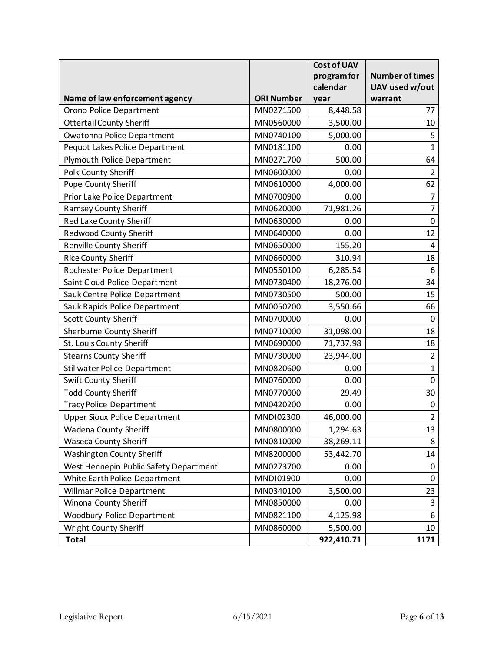|                                        |                   | <b>Cost of UAV</b> |                        |
|----------------------------------------|-------------------|--------------------|------------------------|
|                                        |                   | program for        | <b>Number of times</b> |
|                                        |                   | calendar           | UAV used w/out         |
| Name of law enforcement agency         | <b>ORI Number</b> | year               | warrant                |
| Orono Police Department                | MN0271500         | 8,448.58           | 77                     |
| <b>Ottertail County Sheriff</b>        | MN0560000         | 3,500.00           | 10                     |
| Owatonna Police Department             | MN0740100         | 5,000.00           | 5                      |
| Pequot Lakes Police Department         | MN0181100         | 0.00               | $\mathbf{1}$           |
| Plymouth Police Department             | MN0271700         | 500.00             | 64                     |
| Polk County Sheriff                    | MN0600000         | 0.00               | 2                      |
| Pope County Sheriff                    | MN0610000         | 4,000.00           | 62                     |
| Prior Lake Police Department           | MN0700900         | 0.00               | $\overline{7}$         |
| <b>Ramsey County Sheriff</b>           | MN0620000         | 71,981.26          | $\overline{7}$         |
| Red Lake County Sheriff                | MN0630000         | 0.00               | $\mathbf 0$            |
| <b>Redwood County Sheriff</b>          | MN0640000         | 0.00               | 12                     |
| <b>Renville County Sheriff</b>         | MN0650000         | 155.20             | 4                      |
| <b>Rice County Sheriff</b>             | MN0660000         | 310.94             | 18                     |
| Rochester Police Department            | MN0550100         | 6,285.54           | 6                      |
| Saint Cloud Police Department          | MN0730400         | 18,276.00          | 34                     |
| Sauk Centre Police Department          | MN0730500         | 500.00             | 15                     |
| Sauk Rapids Police Department          | MN0050200         | 3,550.66           | 66                     |
| <b>Scott County Sheriff</b>            | MN0700000         | 0.00               | $\mathbf 0$            |
| Sherburne County Sheriff               | MN0710000         | 31,098.00          | 18                     |
| St. Louis County Sheriff               | MN0690000         | 71,737.98          | 18                     |
| <b>Stearns County Sheriff</b>          | MN0730000         | 23,944.00          | $\overline{2}$         |
| <b>Stillwater Police Department</b>    | MN0820600         | 0.00               | $\mathbf{1}$           |
| Swift County Sheriff                   | MN0760000         | 0.00               | $\mathbf 0$            |
| <b>Todd County Sheriff</b>             | MN0770000         | 29.49              | 30                     |
| <b>Tracy Police Department</b>         | MN0420200         | 0.00               | $\pmb{0}$              |
| <b>Upper Sioux Police Department</b>   | MNDI02300         | 46,000.00          | $\overline{2}$         |
| <b>Wadena County Sheriff</b>           | MN0800000         | 1,294.63           | 13                     |
| <b>Waseca County Sheriff</b>           | MN0810000         | 38,269.11          | 8                      |
| <b>Washington County Sheriff</b>       | MN8200000         | 53,442.70          | 14                     |
| West Hennepin Public Safety Department | MN0273700         | 0.00               | $\mathbf 0$            |
| White Earth Police Department          | MNDI01900         | 0.00               | $\mathbf 0$            |
| Willmar Police Department              | MN0340100         | 3,500.00           | 23                     |
| Winona County Sheriff                  | MN0850000         | 0.00               | 3                      |
| <b>Woodbury Police Department</b>      | MN0821100         | 4,125.98           | 6                      |
| Wright County Sheriff                  | MN0860000         | 5,500.00           | 10                     |
| <b>Total</b>                           |                   | 922,410.71         | 1171                   |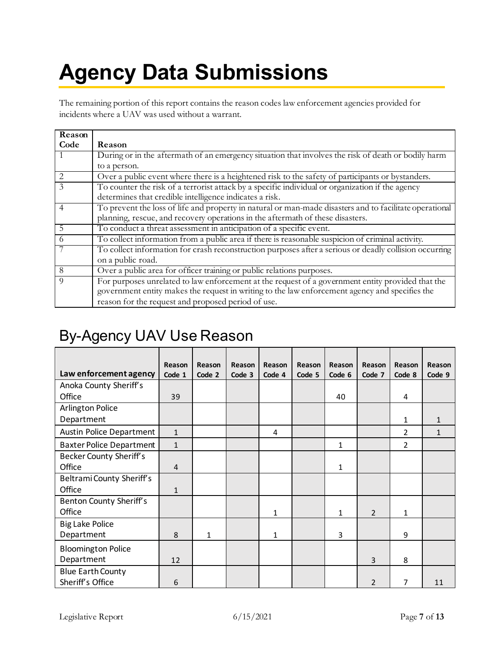## <span id="page-6-0"></span>**Agency Data Submissions**

The remaining portion of this report contains the reason codes law enforcement agencies provided for incidents where a UAV was used without a warrant.

| Reason          |                                                                                                         |
|-----------------|---------------------------------------------------------------------------------------------------------|
| Code            | Reason                                                                                                  |
|                 | During or in the aftermath of an emergency situation that involves the risk of death or bodily harm     |
|                 | to a person.                                                                                            |
| $\frac{2}{3}$   | Over a public event where there is a heightened risk to the safety of participants or bystanders.       |
|                 | To counter the risk of a terrorist attack by a specific individual or organization if the agency        |
|                 | determines that credible intelligence indicates a risk.                                                 |
| $\overline{4}$  | To prevent the loss of life and property in natural or man-made disasters and to facilitate operational |
|                 | planning, rescue, and recovery operations in the aftermath of these disasters.                          |
| $5\overline{)}$ | To conduct a threat assessment in anticipation of a specific event.                                     |
| -6              | To collect information from a public area if there is reasonable suspicion of criminal activity.        |
|                 | To collect information for crash reconstruction purposes after a serious or deadly collision occurring  |
|                 | on a public road.                                                                                       |
| 8               | Over a public area for officer training or public relations purposes.                                   |
| $\overline{Q}$  | For purposes unrelated to law enforcement at the request of a government entity provided that the       |
|                 | government entity makes the request in writing to the law enforcement agency and specifies the          |
|                 | reason for the request and proposed period of use.                                                      |

#### <span id="page-6-1"></span>By-Agency UAV Use Reason

|                                  | Reason         | Reason | Reason | Reason | Reason | Reason | Reason         | Reason         | Reason       |
|----------------------------------|----------------|--------|--------|--------|--------|--------|----------------|----------------|--------------|
| Law enforcement agency           | Code 1         | Code 2 | Code 3 | Code 4 | Code 5 | Code 6 | Code 7         | Code 8         | Code 9       |
| Anoka County Sheriff's           |                |        |        |        |        |        |                |                |              |
| Office                           | 39             |        |        |        |        | 40     |                | 4              |              |
| <b>Arlington Police</b>          |                |        |        |        |        |        |                |                |              |
| Department                       |                |        |        |        |        |        |                | $\mathbf{1}$   | 1            |
| <b>Austin Police Department</b>  | $\mathbf{1}$   |        |        | 4      |        |        |                | $\overline{2}$ | $\mathbf{1}$ |
| <b>Baxter Police Department</b>  | $\mathbf{1}$   |        |        |        |        | 1      |                | $\overline{2}$ |              |
| <b>Becker County Sheriff's</b>   |                |        |        |        |        |        |                |                |              |
| Office                           | $\overline{4}$ |        |        |        |        | 1      |                |                |              |
| <b>Beltrami County Sheriff's</b> |                |        |        |        |        |        |                |                |              |
| Office                           | $\mathbf{1}$   |        |        |        |        |        |                |                |              |
| Benton County Sheriff's          |                |        |        |        |        |        |                |                |              |
| Office                           |                |        |        | 1      |        | 1      | $\overline{2}$ | $\mathbf{1}$   |              |
| <b>Big Lake Police</b>           |                |        |        |        |        |        |                |                |              |
| Department                       | 8              | 1      |        | 1      |        | 3      |                | 9              |              |
| <b>Bloomington Police</b>        |                |        |        |        |        |        |                |                |              |
| Department                       | 12             |        |        |        |        |        | 3              | 8              |              |
| <b>Blue Earth County</b>         |                |        |        |        |        |        |                |                |              |
| Sheriff's Office                 | 6              |        |        |        |        |        | 2              | 7              | 11           |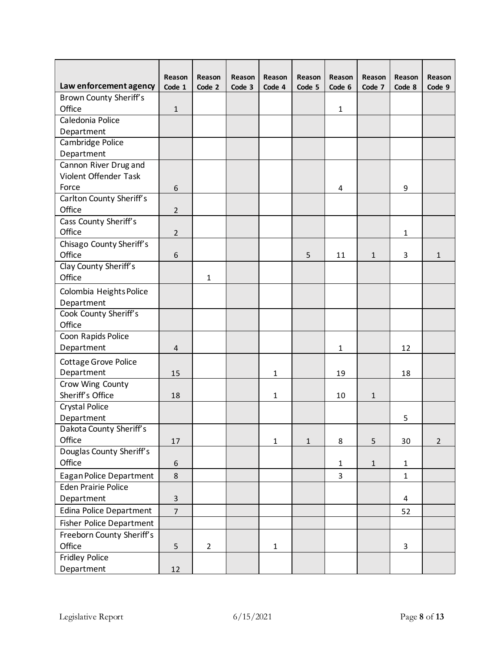| Law enforcement agency         | Reason<br>Code 1 | Reason<br>Code 2 | Reason<br>Code 3 | Reason<br>Code 4 | Reason<br>Code 5 | Reason<br>Code 6 | Reason<br>Code 7 | Reason<br>Code 8 | Reason<br>Code 9 |
|--------------------------------|------------------|------------------|------------------|------------------|------------------|------------------|------------------|------------------|------------------|
| <b>Brown County Sheriff's</b>  |                  |                  |                  |                  |                  |                  |                  |                  |                  |
| Office                         | $\mathbf{1}$     |                  |                  |                  |                  | 1                |                  |                  |                  |
| Caledonia Police               |                  |                  |                  |                  |                  |                  |                  |                  |                  |
| Department                     |                  |                  |                  |                  |                  |                  |                  |                  |                  |
| Cambridge Police               |                  |                  |                  |                  |                  |                  |                  |                  |                  |
| Department                     |                  |                  |                  |                  |                  |                  |                  |                  |                  |
| Cannon River Drug and          |                  |                  |                  |                  |                  |                  |                  |                  |                  |
| Violent Offender Task          |                  |                  |                  |                  |                  |                  |                  |                  |                  |
| Force                          | 6                |                  |                  |                  |                  | 4                |                  | 9                |                  |
| Carlton County Sheriff's       |                  |                  |                  |                  |                  |                  |                  |                  |                  |
| Office                         | $\overline{2}$   |                  |                  |                  |                  |                  |                  |                  |                  |
| Cass County Sheriff's          |                  |                  |                  |                  |                  |                  |                  |                  |                  |
| Office                         | $\overline{2}$   |                  |                  |                  |                  |                  |                  | $\mathbf{1}$     |                  |
| Chisago County Sheriff's       |                  |                  |                  |                  |                  |                  |                  |                  |                  |
| Office                         | 6                |                  |                  |                  | 5                | 11               | $\mathbf{1}$     | 3                | $\mathbf{1}$     |
| Clay County Sheriff's          |                  |                  |                  |                  |                  |                  |                  |                  |                  |
| Office                         |                  | 1                |                  |                  |                  |                  |                  |                  |                  |
| Colombia Heights Police        |                  |                  |                  |                  |                  |                  |                  |                  |                  |
| Department                     |                  |                  |                  |                  |                  |                  |                  |                  |                  |
| Cook County Sheriff's          |                  |                  |                  |                  |                  |                  |                  |                  |                  |
| Office                         |                  |                  |                  |                  |                  |                  |                  |                  |                  |
| Coon Rapids Police             |                  |                  |                  |                  |                  |                  |                  |                  |                  |
| Department                     | 4                |                  |                  |                  |                  | $\mathbf{1}$     |                  | 12               |                  |
| <b>Cottage Grove Police</b>    |                  |                  |                  |                  |                  |                  |                  |                  |                  |
| Department                     | 15               |                  |                  | 1                |                  | 19               |                  | 18               |                  |
| Crow Wing County               |                  |                  |                  |                  |                  |                  |                  |                  |                  |
| Sheriff's Office               | 18               |                  |                  | 1                |                  | 10               | $\mathbf 1$      |                  |                  |
| <b>Crystal Police</b>          |                  |                  |                  |                  |                  |                  |                  |                  |                  |
| Department                     |                  |                  |                  |                  |                  |                  |                  | 5                |                  |
| Dakota County Sheriff's        |                  |                  |                  |                  |                  |                  |                  |                  |                  |
| Office                         | 17               |                  |                  | $\mathbf{1}$     | $\mathbf 1$      | 8                | 5                | 30               | $\overline{2}$   |
| Douglas County Sheriff's       |                  |                  |                  |                  |                  |                  |                  |                  |                  |
| Office                         | 6                |                  |                  |                  |                  | $\mathbf{1}$     | $\mathbf 1$      | $\mathbf{1}$     |                  |
| Eagan Police Department        | 8                |                  |                  |                  |                  | $\overline{3}$   |                  | $\mathbf{1}$     |                  |
| <b>Eden Prairie Police</b>     |                  |                  |                  |                  |                  |                  |                  |                  |                  |
| Department                     | $\overline{3}$   |                  |                  |                  |                  |                  |                  | 4                |                  |
| <b>Edina Police Department</b> | $\overline{7}$   |                  |                  |                  |                  |                  |                  | 52               |                  |
| Fisher Police Department       |                  |                  |                  |                  |                  |                  |                  |                  |                  |
| Freeborn County Sheriff's      |                  |                  |                  |                  |                  |                  |                  |                  |                  |
| Office                         | 5                | $\overline{2}$   |                  | $\mathbf{1}$     |                  |                  |                  | $\overline{3}$   |                  |
| Fridley Police                 |                  |                  |                  |                  |                  |                  |                  |                  |                  |
| Department                     | $12\,$           |                  |                  |                  |                  |                  |                  |                  |                  |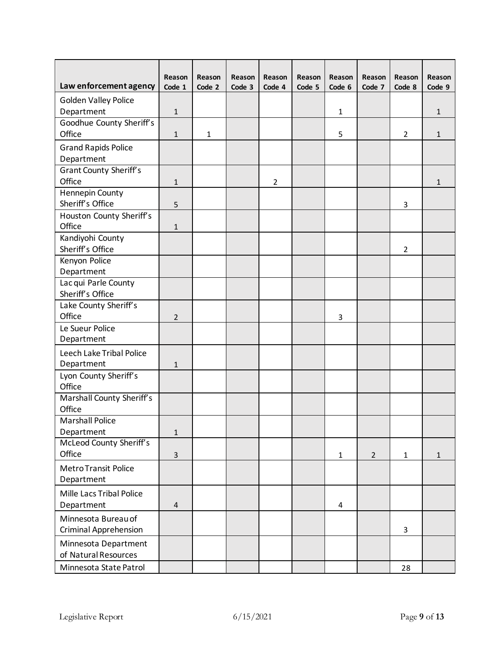|                                    | Reason         | Reason       | Reason | Reason         | Reason | Reason       | Reason         | Reason         | Reason       |
|------------------------------------|----------------|--------------|--------|----------------|--------|--------------|----------------|----------------|--------------|
| Law enforcement agency             | Code 1         | Code 2       | Code 3 | Code 4         | Code 5 | Code 6       | Code 7         | Code 8         | Code 9       |
| <b>Golden Valley Police</b>        |                |              |        |                |        |              |                |                |              |
| Department                         | $\mathbf{1}$   |              |        |                |        | $\mathbf{1}$ |                |                | $\mathbf{1}$ |
| Goodhue County Sheriff's           |                |              |        |                |        |              |                |                |              |
| Office                             | $\mathbf{1}$   | $\mathbf{1}$ |        |                |        | 5            |                | 2              | $\mathbf{1}$ |
| <b>Grand Rapids Police</b>         |                |              |        |                |        |              |                |                |              |
| Department                         |                |              |        |                |        |              |                |                |              |
| <b>Grant County Sheriff's</b>      |                |              |        |                |        |              |                |                |              |
| Office                             | $\mathbf{1}$   |              |        | $\overline{2}$ |        |              |                |                | 1            |
| <b>Hennepin County</b>             |                |              |        |                |        |              |                |                |              |
| Sheriff's Office                   | 5              |              |        |                |        |              |                | 3              |              |
| Houston County Sheriff's<br>Office | 1              |              |        |                |        |              |                |                |              |
| Kandiyohi County                   |                |              |        |                |        |              |                |                |              |
| Sheriff's Office                   |                |              |        |                |        |              |                | $\overline{2}$ |              |
| Kenyon Police                      |                |              |        |                |        |              |                |                |              |
| Department                         |                |              |        |                |        |              |                |                |              |
| Lac qui Parle County               |                |              |        |                |        |              |                |                |              |
| Sheriff's Office                   |                |              |        |                |        |              |                |                |              |
| Lake County Sheriff's              |                |              |        |                |        |              |                |                |              |
| Office                             | $\overline{2}$ |              |        |                |        | 3            |                |                |              |
| Le Sueur Police                    |                |              |        |                |        |              |                |                |              |
| Department                         |                |              |        |                |        |              |                |                |              |
| Leech Lake Tribal Police           |                |              |        |                |        |              |                |                |              |
| Department                         | $\mathbf{1}$   |              |        |                |        |              |                |                |              |
| Lyon County Sheriff's<br>Office    |                |              |        |                |        |              |                |                |              |
| Marshall County Sheriff's          |                |              |        |                |        |              |                |                |              |
| Office                             |                |              |        |                |        |              |                |                |              |
| <b>Marshall Police</b>             |                |              |        |                |        |              |                |                |              |
| Department                         | $\mathbf{1}$   |              |        |                |        |              |                |                |              |
| McLeod County Sheriff's            |                |              |        |                |        |              |                |                |              |
| Office                             | $\overline{3}$ |              |        |                |        | $\mathbf{1}$ | $\overline{2}$ | $\mathbf{1}$   | $\mathbf{1}$ |
| Metro Transit Police               |                |              |        |                |        |              |                |                |              |
| Department                         |                |              |        |                |        |              |                |                |              |
| Mille Lacs Tribal Police           |                |              |        |                |        |              |                |                |              |
| Department                         | $\overline{4}$ |              |        |                |        | 4            |                |                |              |
| Minnesota Bureau of                |                |              |        |                |        |              |                |                |              |
| <b>Criminal Apprehension</b>       |                |              |        |                |        |              |                | 3              |              |
| Minnesota Department               |                |              |        |                |        |              |                |                |              |
| of Natural Resources               |                |              |        |                |        |              |                |                |              |
| Minnesota State Patrol             |                |              |        |                |        |              |                | 28             |              |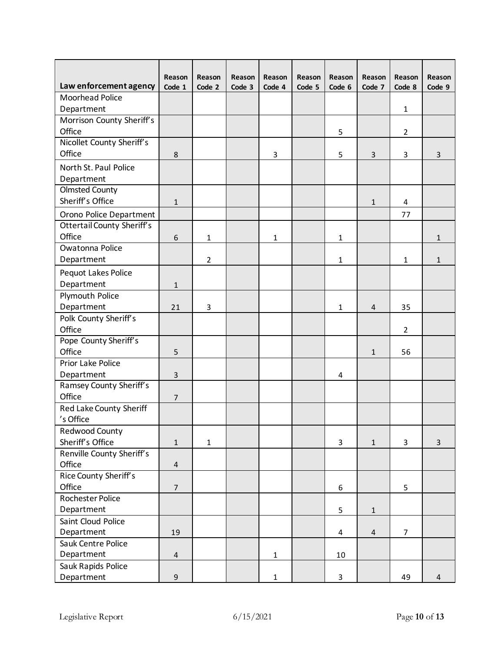| Law enforcement agency                | Reason<br>Code 1 | Reason<br>Code 2 | Reason<br>Code 3 | Reason<br>Code 4 | Reason<br>Code 5 | Reason<br>Code 6 | Reason<br>Code 7 | Reason<br>Code 8 | Reason<br>Code 9 |
|---------------------------------------|------------------|------------------|------------------|------------------|------------------|------------------|------------------|------------------|------------------|
| <b>Moorhead Police</b>                |                  |                  |                  |                  |                  |                  |                  |                  |                  |
| Department                            |                  |                  |                  |                  |                  |                  |                  | $\mathbf{1}$     |                  |
| Morrison County Sheriff's             |                  |                  |                  |                  |                  |                  |                  |                  |                  |
| Office                                |                  |                  |                  |                  |                  | 5                |                  | $\overline{2}$   |                  |
| Nicollet County Sheriff's             |                  |                  |                  |                  |                  |                  |                  |                  |                  |
| Office                                | 8                |                  |                  | 3                |                  | 5                | 3                | 3                | 3                |
| North St. Paul Police                 |                  |                  |                  |                  |                  |                  |                  |                  |                  |
| Department                            |                  |                  |                  |                  |                  |                  |                  |                  |                  |
| <b>Olmsted County</b>                 |                  |                  |                  |                  |                  |                  |                  |                  |                  |
| Sheriff's Office                      | $\mathbf{1}$     |                  |                  |                  |                  |                  | $\mathbf 1$      | 4                |                  |
| Orono Police Department               |                  |                  |                  |                  |                  |                  |                  | 77               |                  |
| <b>Ottertail County Sheriff's</b>     |                  |                  |                  |                  |                  |                  |                  |                  |                  |
| Office                                | 6                | $\mathbf{1}$     |                  | 1                |                  | $\mathbf{1}$     |                  |                  | $\mathbf{1}$     |
| Owatonna Police                       |                  |                  |                  |                  |                  |                  |                  |                  |                  |
| Department                            |                  | $\overline{2}$   |                  |                  |                  | $\mathbf{1}$     |                  | $\mathbf{1}$     | $\mathbf{1}$     |
| Pequot Lakes Police                   |                  |                  |                  |                  |                  |                  |                  |                  |                  |
| Department                            | $\mathbf{1}$     |                  |                  |                  |                  |                  |                  |                  |                  |
| Plymouth Police                       |                  |                  |                  |                  |                  |                  |                  |                  |                  |
| Department                            | 21               | 3                |                  |                  |                  | 1                | $\overline{4}$   | 35               |                  |
| Polk County Sheriff's                 |                  |                  |                  |                  |                  |                  |                  |                  |                  |
| Office                                |                  |                  |                  |                  |                  |                  |                  | $\overline{2}$   |                  |
| Pope County Sheriff's                 |                  |                  |                  |                  |                  |                  |                  |                  |                  |
| Office                                | 5                |                  |                  |                  |                  |                  | 1                | 56               |                  |
| <b>Prior Lake Police</b>              |                  |                  |                  |                  |                  |                  |                  |                  |                  |
| Department<br>Ramsey County Sheriff's | 3                |                  |                  |                  |                  | 4                |                  |                  |                  |
| Office                                | $\overline{7}$   |                  |                  |                  |                  |                  |                  |                  |                  |
| Red Lake County Sheriff               |                  |                  |                  |                  |                  |                  |                  |                  |                  |
| 's Office                             |                  |                  |                  |                  |                  |                  |                  |                  |                  |
| Redwood County                        |                  |                  |                  |                  |                  |                  |                  |                  |                  |
| Sheriff's Office                      | $\mathbf{1}$     | $\mathbf{1}$     |                  |                  |                  | 3                | $\mathbf{1}$     | 3                | 3                |
| Renville County Sheriff's             |                  |                  |                  |                  |                  |                  |                  |                  |                  |
| Office                                | $\sqrt{4}$       |                  |                  |                  |                  |                  |                  |                  |                  |
| <b>Rice County Sheriff's</b>          |                  |                  |                  |                  |                  |                  |                  |                  |                  |
| Office                                | $\overline{7}$   |                  |                  |                  |                  | 6                |                  | 5                |                  |
| Rochester Police                      |                  |                  |                  |                  |                  |                  |                  |                  |                  |
| Department                            |                  |                  |                  |                  |                  | 5                | $\mathbf 1$      |                  |                  |
| Saint Cloud Police                    |                  |                  |                  |                  |                  |                  |                  |                  |                  |
| Department                            | 19               |                  |                  |                  |                  | 4                | $\overline{4}$   | $\overline{7}$   |                  |
| Sauk Centre Police                    |                  |                  |                  |                  |                  |                  |                  |                  |                  |
| Department                            | $\sqrt{4}$       |                  |                  | $\mathbf 1$      |                  | 10               |                  |                  |                  |
| Sauk Rapids Police                    |                  |                  |                  |                  |                  |                  |                  |                  |                  |
| Department                            | $\mathsf 9$      |                  |                  | $\mathbf 1$      |                  | 3                |                  | 49               | $\overline{4}$   |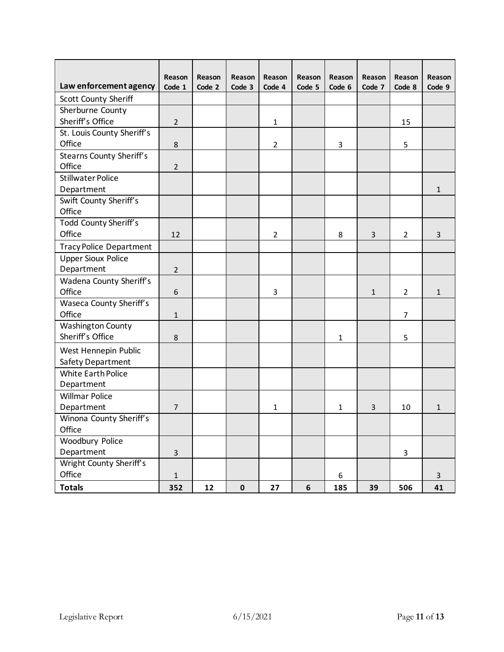| Law enforcement agency          | Reason<br>Code 1 | Reason<br>Code 2 | Reason<br>Code 3 | Reason<br>Code 4 | Reason<br>Code 5 | Reason<br>Code 6 | Reason<br>Code 7 | Reason<br>Code 8 | Reason<br>Code 9 |
|---------------------------------|------------------|------------------|------------------|------------------|------------------|------------------|------------------|------------------|------------------|
| <b>Scott County Sheriff</b>     |                  |                  |                  |                  |                  |                  |                  |                  |                  |
| Sherburne County                |                  |                  |                  |                  |                  |                  |                  |                  |                  |
| Sheriff's Office                | $\overline{2}$   |                  |                  | $\mathbf{1}$     |                  |                  |                  | 15               |                  |
| St. Louis County Sheriff's      |                  |                  |                  |                  |                  |                  |                  |                  |                  |
| Office                          | 8                |                  |                  | $\overline{2}$   |                  | 3                |                  | 5                |                  |
| <b>Stearns County Sheriff's</b> |                  |                  |                  |                  |                  |                  |                  |                  |                  |
| Office                          | $\overline{2}$   |                  |                  |                  |                  |                  |                  |                  |                  |
| <b>Stillwater Police</b>        |                  |                  |                  |                  |                  |                  |                  |                  |                  |
| Department                      |                  |                  |                  |                  |                  |                  |                  |                  | 1                |
| Swift County Sheriff's          |                  |                  |                  |                  |                  |                  |                  |                  |                  |
| Office                          |                  |                  |                  |                  |                  |                  |                  |                  |                  |
| Todd County Sheriff's           |                  |                  |                  |                  |                  |                  |                  |                  |                  |
| Office                          | 12               |                  |                  | $\overline{2}$   |                  | 8                | 3                | $\overline{2}$   | 3                |
| <b>Tracy Police Department</b>  |                  |                  |                  |                  |                  |                  |                  |                  |                  |
| <b>Upper Sioux Police</b>       |                  |                  |                  |                  |                  |                  |                  |                  |                  |
| Department                      | $\overline{2}$   |                  |                  |                  |                  |                  |                  |                  |                  |
| Wadena County Sheriff's         |                  |                  |                  |                  |                  |                  |                  |                  |                  |
| Office                          | $\boldsymbol{6}$ |                  |                  | 3                |                  |                  | $\mathbf 1$      | $\overline{2}$   | $\mathbf{1}$     |
| Waseca County Sheriff's         |                  |                  |                  |                  |                  |                  |                  |                  |                  |
| Office                          | $\mathbf{1}$     |                  |                  |                  |                  |                  |                  | $\overline{7}$   |                  |
| <b>Washington County</b>        |                  |                  |                  |                  |                  |                  |                  |                  |                  |
| Sheriff's Office                | 8                |                  |                  |                  |                  | 1                |                  | 5                |                  |
| West Hennepin Public            |                  |                  |                  |                  |                  |                  |                  |                  |                  |
| Safety Department               |                  |                  |                  |                  |                  |                  |                  |                  |                  |
| <b>White Earth Police</b>       |                  |                  |                  |                  |                  |                  |                  |                  |                  |
| Department                      |                  |                  |                  |                  |                  |                  |                  |                  |                  |
| <b>Willmar Police</b>           |                  |                  |                  |                  |                  |                  |                  |                  |                  |
| Department                      | $\overline{7}$   |                  |                  | 1                |                  | 1                | 3                | 10               | 1                |
| Winona County Sheriff's         |                  |                  |                  |                  |                  |                  |                  |                  |                  |
| Office                          |                  |                  |                  |                  |                  |                  |                  |                  |                  |
| <b>Woodbury Police</b>          |                  |                  |                  |                  |                  |                  |                  |                  |                  |
| Department                      | $\overline{3}$   |                  |                  |                  |                  |                  |                  | 3                |                  |
| Wright County Sheriff's         |                  |                  |                  |                  |                  |                  |                  |                  |                  |
| Office                          | $\mathbf 1$      |                  |                  |                  |                  | 6                |                  |                  | $\mathbf{3}$     |
| <b>Totals</b>                   | 352              | 12               | $\pmb{0}$        | 27               | $\boldsymbol{6}$ | 185              | 39               | 506              | 41               |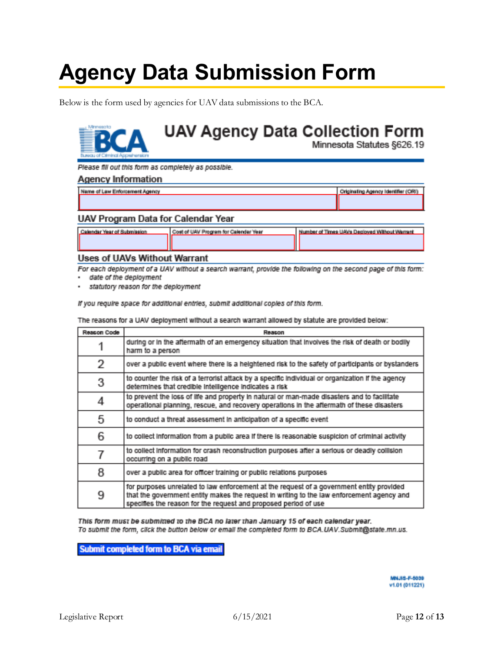## <span id="page-11-0"></span>**Agency Data Submission Form**

Below is the form used by agencies for UAV data submissions to the BCA.

#### **UAV Agency Data Collection Form** Minnesota Statutes §626.19

Please fill out this form as completely as possible.

#### **Agency Information**

| Name of Law Enforcement Agency | Criginaling Agency Identifier (ORI) |
|--------------------------------|-------------------------------------|
|                                |                                     |
|                                |                                     |

#### **UAV Program Data for Calendar Year**

| Calendar Year of Submission | Cost of UAV Program for Calendar Year | Number of Times UAVs Decloved Without Warrant |  |  |  |
|-----------------------------|---------------------------------------|-----------------------------------------------|--|--|--|
|                             |                                       |                                               |  |  |  |
|                             |                                       |                                               |  |  |  |

#### **Uses of UAVs Without Warrant**

For each deployment of a UAV without a search warrant, provide the following on the second page of this form:

- date of the deployment

statutory reason for the deployment

If you require space for additional entries, submit additional copies of this form.

The reasons for a UAV deployment without a search warrant allowed by statute are provided below:

| Reason Code | Reason                                                                                                                                                                                                                                                   |
|-------------|----------------------------------------------------------------------------------------------------------------------------------------------------------------------------------------------------------------------------------------------------------|
|             | during or in the aftermath of an emergency situation that involves the risk of death or bodily<br>harm to a person                                                                                                                                       |
| 2           | over a public event where there is a heightened risk to the safety of participants or bystanders                                                                                                                                                         |
| 3           | to counter the risk of a terrorist attack by a specific individual or organization if the agency<br>determines that credible intelligence indicates a risk                                                                                               |
| 4           | to prevent the loss of life and property in natural or man-made disasters and to facilitate<br>operational planning, rescue, and recovery operations in the aftermath of these disasters                                                                 |
| 5           | to conduct a threat assessment in anticipation of a specific event                                                                                                                                                                                       |
| 6           | to collect information from a public area if there is reasonable suspicion of criminal activity                                                                                                                                                          |
|             | to collect information for crash reconstruction purposes after a serious or deadly collision<br>occurring on a public road                                                                                                                               |
| 8           | over a public area for officer training or public relations purposes                                                                                                                                                                                     |
| 9           | for purposes unrelated to law enforcement at the request of a government entity provided<br>that the government entity makes the request in writing to the law enforcement agency and<br>specifies the reason for the request and proposed period of use |

This form must be submitted to the BCA no later than January 15 of each calendar year. To submit the form, click the button below or email the completed form to BCA.UAV.Submit@state.mn.us.

Submit completed form to BCA via email

MNJ18-F-5030 v1.01 (011221)